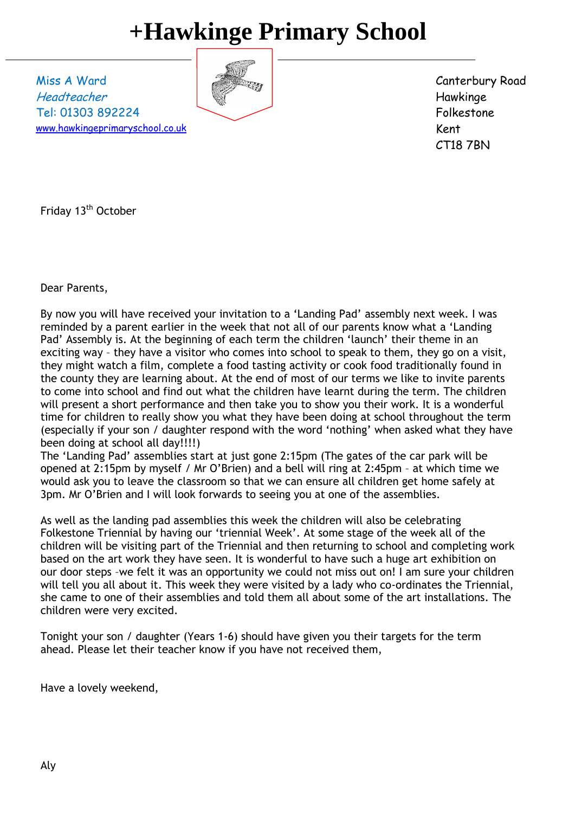## **+Hawkinge Primary School**

Miss A Ward Headteacher Tel: 01303 892224 [www.hawkingeprimaryschool.co.uk](http://www.hawkingeprimaryschool.co.uk/)



Canterbury Road Hawkinge Folkestone Kent CT18 7BN

Friday 13<sup>th</sup> October

Dear Parents,

By now you will have received your invitation to a 'Landing Pad' assembly next week. I was reminded by a parent earlier in the week that not all of our parents know what a 'Landing Pad' Assembly is. At the beginning of each term the children 'launch' their theme in an exciting way – they have a visitor who comes into school to speak to them, they go on a visit, they might watch a film, complete a food tasting activity or cook food traditionally found in the county they are learning about. At the end of most of our terms we like to invite parents to come into school and find out what the children have learnt during the term. The children will present a short performance and then take you to show you their work. It is a wonderful time for children to really show you what they have been doing at school throughout the term (especially if your son / daughter respond with the word 'nothing' when asked what they have been doing at school all day!!!!)

The 'Landing Pad' assemblies start at just gone 2:15pm (The gates of the car park will be opened at 2:15pm by myself / Mr O'Brien) and a bell will ring at 2:45pm – at which time we would ask you to leave the classroom so that we can ensure all children get home safely at 3pm. Mr O'Brien and I will look forwards to seeing you at one of the assemblies.

As well as the landing pad assemblies this week the children will also be celebrating Folkestone Triennial by having our 'triennial Week'. At some stage of the week all of the children will be visiting part of the Triennial and then returning to school and completing work based on the art work they have seen. It is wonderful to have such a huge art exhibition on our door steps –we felt it was an opportunity we could not miss out on! I am sure your children will tell you all about it. This week they were visited by a lady who co-ordinates the Triennial, she came to one of their assemblies and told them all about some of the art installations. The children were very excited.

Tonight your son / daughter (Years 1-6) should have given you their targets for the term ahead. Please let their teacher know if you have not received them,

Have a lovely weekend,